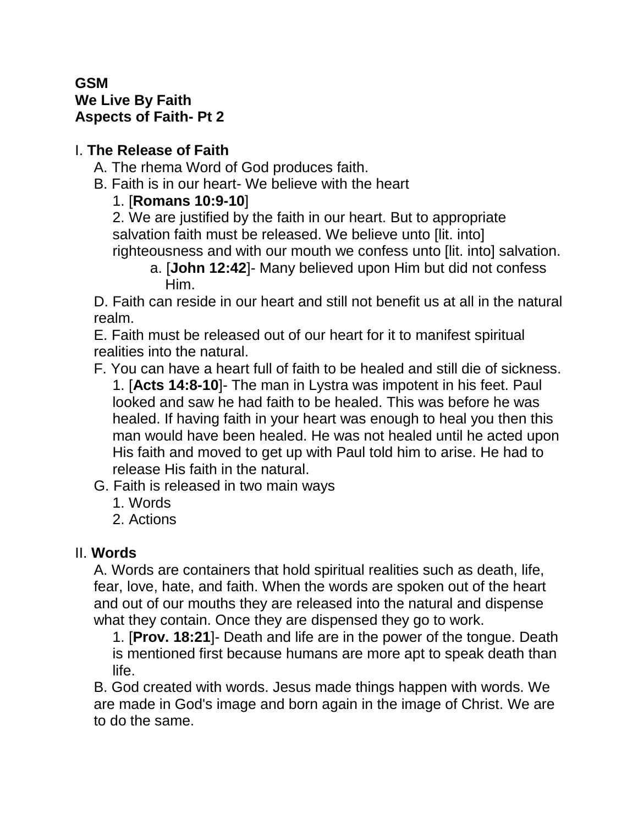#### **GSM We Live By Faith Aspects of Faith- Pt 2**

#### I. **The Release of Faith**

- A. The rhema Word of God produces faith.
- B. Faith is in our heart- We believe with the heart

# 1. [**Romans 10:9-10**]

2. We are justified by the faith in our heart. But to appropriate salvation faith must be released. We believe unto [lit. into] righteousness and with our mouth we confess unto [lit. into] salvation.

a. [**John 12:42**]- Many believed upon Him but did not confess Him.

D. Faith can reside in our heart and still not benefit us at all in the natural realm.

E. Faith must be released out of our heart for it to manifest spiritual realities into the natural.

F. You can have a heart full of faith to be healed and still die of sickness. 1. [**Acts 14:8-10**]- The man in Lystra was impotent in his feet. Paul looked and saw he had faith to be healed. This was before he was healed. If having faith in your heart was enough to heal you then this man would have been healed. He was not healed until he acted upon His faith and moved to get up with Paul told him to arise. He had to release His faith in the natural.

- G. Faith is released in two main ways
	- 1. Words
	- 2. Actions

# II. **Words**

A. Words are containers that hold spiritual realities such as death, life, fear, love, hate, and faith. When the words are spoken out of the heart and out of our mouths they are released into the natural and dispense what they contain. Once they are dispensed they go to work.

1. [**Prov. 18:21**]- Death and life are in the power of the tongue. Death is mentioned first because humans are more apt to speak death than life.

B. God created with words. Jesus made things happen with words. We are made in God's image and born again in the image of Christ. We are to do the same.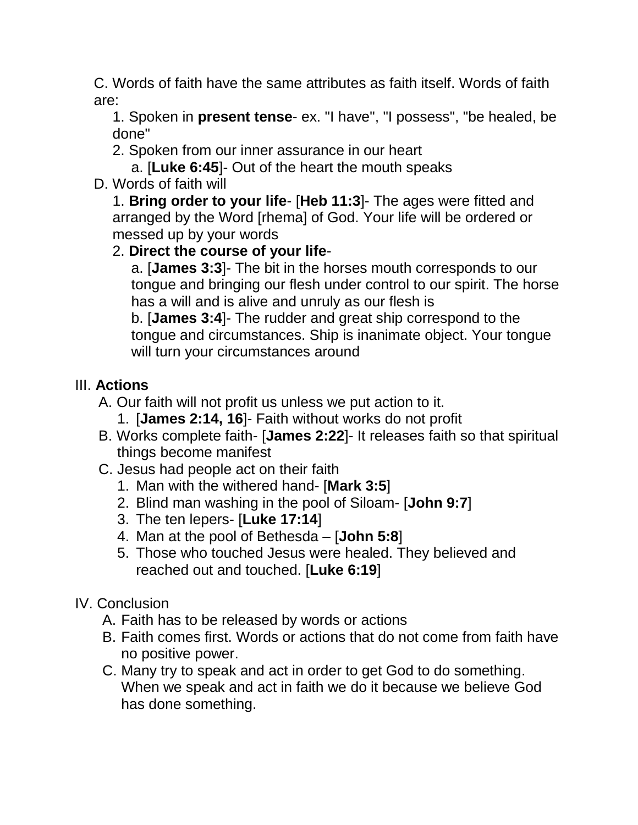C. Words of faith have the same attributes as faith itself. Words of faith are:

1. Spoken in **present tense**- ex. "I have", "I possess", "be healed, be done"

2. Spoken from our inner assurance in our heart

a. [**Luke 6:45**]- Out of the heart the mouth speaks

D. Words of faith will

1. **Bring order to your life**- [**Heb 11:3**]- The ages were fitted and arranged by the Word [rhema] of God. Your life will be ordered or messed up by your words

### 2. **Direct the course of your life**-

a. [**James 3:3**]- The bit in the horses mouth corresponds to our tongue and bringing our flesh under control to our spirit. The horse has a will and is alive and unruly as our flesh is

b. [**James 3:4**]- The rudder and great ship correspond to the tongue and circumstances. Ship is inanimate object. Your tongue will turn your circumstances around

# III. **Actions**

- A. Our faith will not profit us unless we put action to it.
	- 1. [**James 2:14, 16**]- Faith without works do not profit
- B. Works complete faith- [**James 2:22**]- It releases faith so that spiritual things become manifest
- C. Jesus had people act on their faith
	- 1. Man with the withered hand- [**Mark 3:5**]
	- 2. Blind man washing in the pool of Siloam- [**John 9:7**]
	- 3. The ten lepers- [**Luke 17:14**]
	- 4. Man at the pool of Bethesda [**John 5:8**]
	- 5. Those who touched Jesus were healed. They believed and reached out and touched. [**Luke 6:19**]

### IV. Conclusion

- A. Faith has to be released by words or actions
- B. Faith comes first. Words or actions that do not come from faith have no positive power.
- C. Many try to speak and act in order to get God to do something. When we speak and act in faith we do it because we believe God has done something.